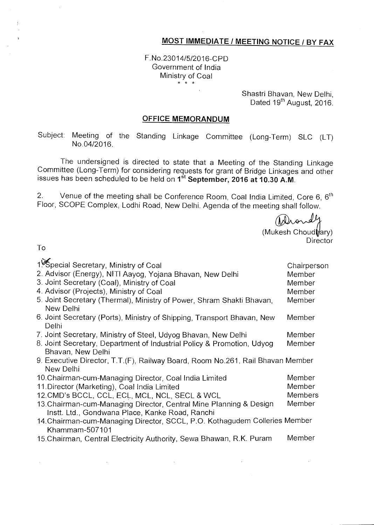## **MOST IMMEDIATE / MEETING NOTICE / BY FAX**

F.No.23014/5/2016-CPD Government of India Ministry of Coal  $*$  \* \*

> Shastri Bhavan, New Delhi, Dated 19<sup>th</sup> August, 2016.

## **OFFICE MEMORANDUM**

Subject: Meeting of the Standing Linkage Committee (Long-Term) SLC (LT) No.04/2016.

The undersigned is directed to state that a Meeting of the Standing Linkage Committee (Long-Term) for considering requests for grant of Bridge Linkages and other issues has been scheduled to be held on 1st **September, 2016 at 10.30 A.M.** 

2. Venue of the meeting shall be Conference Room, Coal India Limited, Core 6,  $6<sup>th</sup>$ Floor, SCOPE Complex, Lodhi Road, New Delhi. Agenda of the meeting shall follow.

Drondy  $(Mu$ kesh Choud $\frac{1}{2}$ ary) **Director** 

To

 $\mathcal{L}^{\mathcal{A}}$ 

| 1. Special Secretary, Ministry of Coal<br>2. Advisor (Energy), NITI Aayog, Yojana Bhavan, New Delhi<br>3. Joint Secretary (Coal), Ministry of Coal<br>4. Advisor (Projects), Ministry of Coal<br>5. Joint Secretary (Thermal), Ministry of Power, Shram Shakti Bhavan, | Chairperson<br>Member<br>Member<br>Member<br>Member |
|------------------------------------------------------------------------------------------------------------------------------------------------------------------------------------------------------------------------------------------------------------------------|-----------------------------------------------------|
| New Delhi                                                                                                                                                                                                                                                              |                                                     |
| 6. Joint Secretary (Ports), Ministry of Shipping, Transport Bhavan, New<br>Delhi                                                                                                                                                                                       | Member                                              |
| 7. Joint Secretary, Ministry of Steel, Udyog Bhavan, New Delhi                                                                                                                                                                                                         | Member                                              |
| 8. Joint Secretary, Department of Industrial Policy & Promotion, Udyog<br>Bhavan, New Delhi                                                                                                                                                                            | Member                                              |
| 9. Executive Director, T.T. (F), Railway Board, Room No.261, Rail Bhavan Member<br>New Delhi                                                                                                                                                                           |                                                     |
| 10. Chairman-cum-Managing Director, Coal India Limited                                                                                                                                                                                                                 | Member                                              |
| 11. Director (Marketing), Coal India Limited                                                                                                                                                                                                                           | Member                                              |
| 12. CMD's BCCL, CCL, ECL, MCL, NCL, SECL & WCL                                                                                                                                                                                                                         | <b>Members</b>                                      |
| 13. Chairman-cum-Managing Director, Central Mine Planning & Design<br>Instt. Ltd., Gondwana Place, Kanke Road, Ranchi                                                                                                                                                  | Member                                              |
| 14. Chairman-cum-Managing Director, SCCL, P.O. Kothagudem Colleries Member<br>Khammam-507101                                                                                                                                                                           |                                                     |
| 15. Chairman, Central Electricity Authority, Sewa Bhawan, R.K. Puram                                                                                                                                                                                                   | Member                                              |

 $\mathcal{A}^{\mathcal{A}}$ 

 $\sim 10^7$ 

 $\sim 10^{-1}$